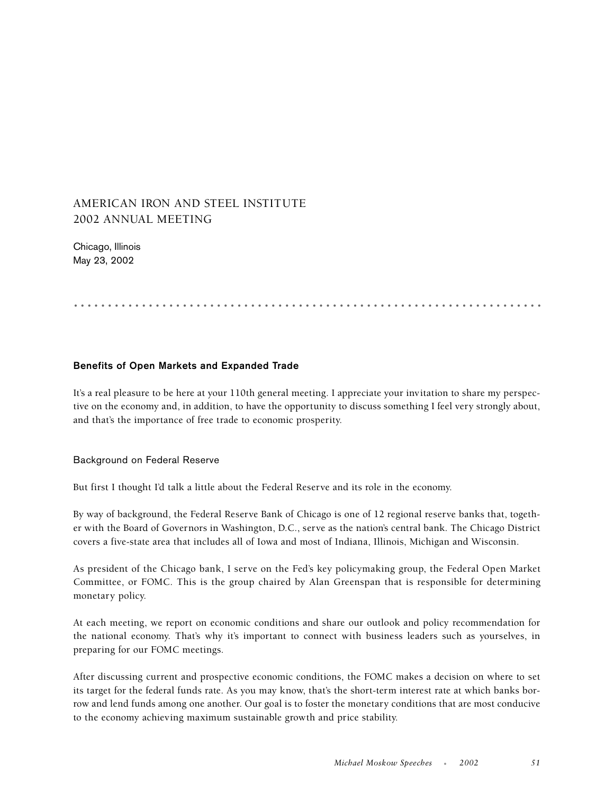## AMERICAN IRON AND STEEL INSTITUTE 2002 ANNUAL MEETING

Chicago, Illinois May 23, 2002

# .....................................................................

## **Benefits of Open Markets and Expanded Trade**

It's a real pleasure to be here at your 110th general meeting. I appreciate your invitation to share my perspective on the economy and, in addition, to have the opportunity to discuss something I feel very strongly about, and that's the importance of free trade to economic prosperity.

## Background on Federal Reserve

But first I thought I'd talk a little about the Federal Reserve and its role in the economy.

By way of background, the Federal Reserve Bank of Chicago is one of 12 regional reserve banks that, together with the Board of Governors in Washington, D.C., serve as the nation's central bank. The Chicago District covers a five-state area that includes all of Iowa and most of Indiana, Illinois, Michigan and Wisconsin.

As president of the Chicago bank, I serve on the Fed's key policymaking group, the Federal Open Market Committee, or FOMC. This is the group chaired by Alan Greenspan that is responsible for determining monetary policy.

At each meeting, we report on economic conditions and share our outlook and policy recommendation for the national economy. That's why it's important to connect with business leaders such as yourselves, in preparing for our FOMC meetings.

After discussing current and prospective economic conditions, the FOMC makes a decision on where to set its target for the federal funds rate. As you may know, that's the short-term interest rate at which banks borrow and lend funds among one another. Our goal is to foster the monetary conditions that are most conducive to the economy achieving maximum sustainable growth and price stability.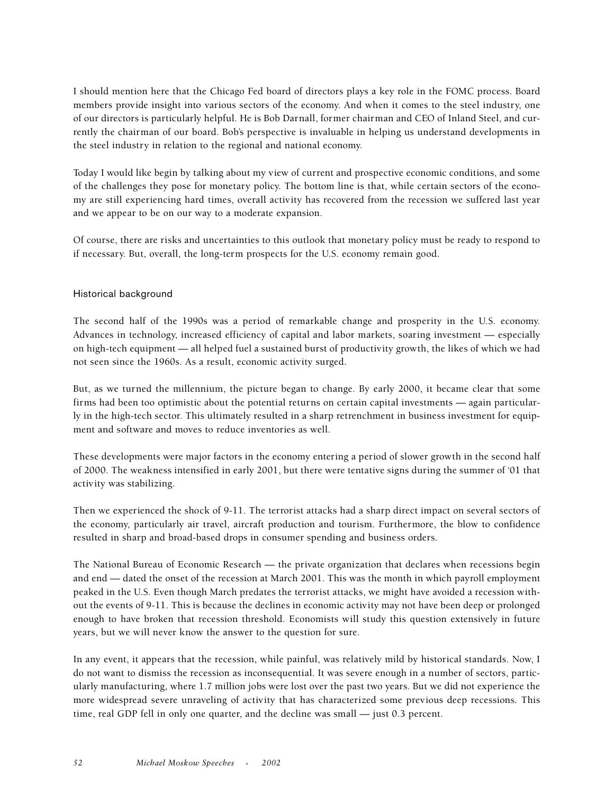I should mention here that the Chicago Fed board of directors plays a key role in the FOMC process. Board members provide insight into various sectors of the economy. And when it comes to the steel industry, one of our directors is particularly helpful. He is Bob Darnall, former chairman and CEO of Inland Steel, and currently the chairman of our board. Bob's perspective is invaluable in helping us understand developments in the steel industry in relation to the regional and national economy.

Today I would like begin by talking about my view of current and prospective economic conditions, and some of the challenges they pose for monetary policy. The bottom line is that, while certain sectors of the economy are still experiencing hard times, overall activity has recovered from the recession we suffered last year and we appear to be on our way to a moderate expansion.

Of course, there are risks and uncertainties to this outlook that monetary policy must be ready to respond to if necessary. But, overall, the long-term prospects for the U.S. economy remain good.

## Historical background

The second half of the 1990s was a period of remarkable change and prosperity in the U.S. economy. Advances in technology, increased efficiency of capital and labor markets, soaring investment — especially on high-tech equipment — all helped fuel a sustained burst of productivity growth, the likes of which we had not seen since the 1960s. As a result, economic activity surged.

But, as we turned the millennium, the picture began to change. By early 2000, it became clear that some firms had been too optimistic about the potential returns on certain capital investments — again particularly in the high-tech sector. This ultimately resulted in a sharp retrenchment in business investment for equipment and software and moves to reduce inventories as well.

These developments were major factors in the economy entering a period of slower growth in the second half of 2000. The weakness intensified in early 2001, but there were tentative signs during the summer of '01 that activity was stabilizing.

Then we experienced the shock of 9-11. The terrorist attacks had a sharp direct impact on several sectors of the economy, particularly air travel, aircraft production and tourism. Furthermore, the blow to confidence resulted in sharp and broad-based drops in consumer spending and business orders.

The National Bureau of Economic Research — the private organization that declares when recessions begin and end — dated the onset of the recession at March 2001. This was the month in which payroll employment peaked in the U.S. Even though March predates the terrorist attacks, we might have avoided a recession without the events of 9-11. This is because the declines in economic activity may not have been deep or prolonged enough to have broken that recession threshold. Economists will study this question extensively in future years, but we will never know the answer to the question for sure.

In any event, it appears that the recession, while painful, was relatively mild by historical standards. Now, I do not want to dismiss the recession as inconsequential. It was severe enough in a number of sectors, particularly manufacturing, where 1.7 million jobs were lost over the past two years. But we did not experience the more widespread severe unraveling of activity that has characterized some previous deep recessions. This time, real GDP fell in only one quarter, and the decline was small — just 0.3 percent.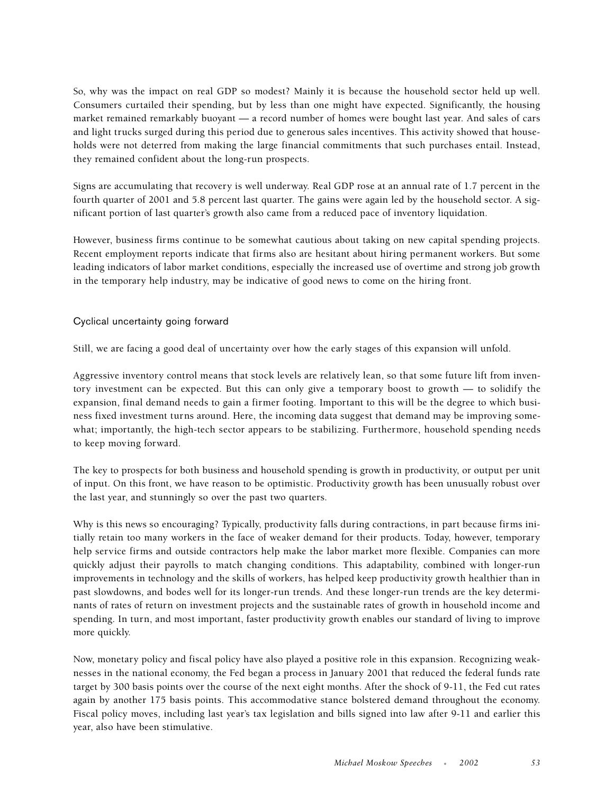So, why was the impact on real GDP so modest? Mainly it is because the household sector held up well. Consumers curtailed their spending, but by less than one might have expected. Significantly, the housing market remained remarkably buoyant — a record number of homes were bought last year. And sales of cars and light trucks surged during this period due to generous sales incentives. This activity showed that households were not deterred from making the large financial commitments that such purchases entail. Instead, they remained confident about the long-run prospects.

Signs are accumulating that recovery is well underway. Real GDP rose at an annual rate of 1.7 percent in the fourth quarter of 2001 and 5.8 percent last quarter. The gains were again led by the household sector. A significant portion of last quarter's growth also came from a reduced pace of inventory liquidation.

However, business firms continue to be somewhat cautious about taking on new capital spending projects. Recent employment reports indicate that firms also are hesitant about hiring permanent workers. But some leading indicators of labor market conditions, especially the increased use of overtime and strong job growth in the temporary help industry, may be indicative of good news to come on the hiring front.

## Cyclical uncertainty going forward

Still, we are facing a good deal of uncertainty over how the early stages of this expansion will unfold.

Aggressive inventory control means that stock levels are relatively lean, so that some future lift from inventory investment can be expected. But this can only give a temporary boost to growth — to solidify the expansion, final demand needs to gain a firmer footing. Important to this will be the degree to which business fixed investment turns around. Here, the incoming data suggest that demand may be improving somewhat; importantly, the high-tech sector appears to be stabilizing. Furthermore, household spending needs to keep moving forward.

The key to prospects for both business and household spending is growth in productivity, or output per unit of input. On this front, we have reason to be optimistic. Productivity growth has been unusually robust over the last year, and stunningly so over the past two quarters.

Why is this news so encouraging? Typically, productivity falls during contractions, in part because firms initially retain too many workers in the face of weaker demand for their products. Today, however, temporary help service firms and outside contractors help make the labor market more flexible. Companies can more quickly adjust their payrolls to match changing conditions. This adaptability, combined with longer-run improvements in technology and the skills of workers, has helped keep productivity growth healthier than in past slowdowns, and bodes well for its longer-run trends. And these longer-run trends are the key determinants of rates of return on investment projects and the sustainable rates of growth in household income and spending. In turn, and most important, faster productivity growth enables our standard of living to improve more quickly.

Now, monetary policy and fiscal policy have also played a positive role in this expansion. Recognizing weaknesses in the national economy, the Fed began a process in January 2001 that reduced the federal funds rate target by 300 basis points over the course of the next eight months. After the shock of 9-11, the Fed cut rates again by another 175 basis points. This accommodative stance bolstered demand throughout the economy. Fiscal policy moves, including last year's tax legislation and bills signed into law after 9-11 and earlier this year, also have been stimulative.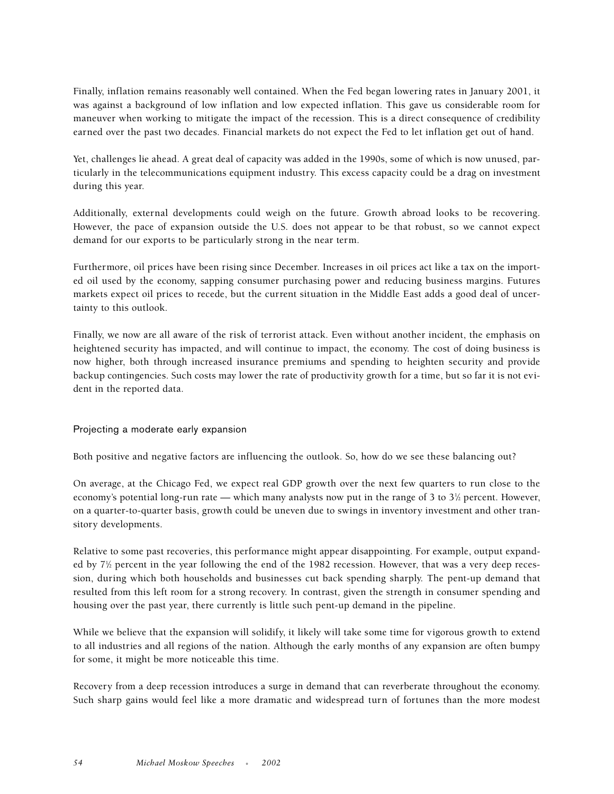Finally, inflation remains reasonably well contained. When the Fed began lowering rates in January 2001, it was against a background of low inflation and low expected inflation. This gave us considerable room for maneuver when working to mitigate the impact of the recession. This is a direct consequence of credibility earned over the past two decades. Financial markets do not expect the Fed to let inflation get out of hand.

Yet, challenges lie ahead. A great deal of capacity was added in the 1990s, some of which is now unused, particularly in the telecommunications equipment industry. This excess capacity could be a drag on investment during this year.

Additionally, external developments could weigh on the future. Growth abroad looks to be recovering. However, the pace of expansion outside the U.S. does not appear to be that robust, so we cannot expect demand for our exports to be particularly strong in the near term.

Furthermore, oil prices have been rising since December. Increases in oil prices act like a tax on the imported oil used by the economy, sapping consumer purchasing power and reducing business margins. Futures markets expect oil prices to recede, but the current situation in the Middle East adds a good deal of uncertainty to this outlook.

Finally, we now are all aware of the risk of terrorist attack. Even without another incident, the emphasis on heightened security has impacted, and will continue to impact, the economy. The cost of doing business is now higher, both through increased insurance premiums and spending to heighten security and provide backup contingencies. Such costs may lower the rate of productivity growth for a time, but so far it is not evident in the reported data.

## Projecting a moderate early expansion

Both positive and negative factors are influencing the outlook. So, how do we see these balancing out?

On average, at the Chicago Fed, we expect real GDP growth over the next few quarters to run close to the economy's potential long-run rate — which many analysts now put in the range of 3 to  $3\%$  percent. However, on a quarter-to-quarter basis, growth could be uneven due to swings in inventory investment and other transitory developments.

Relative to some past recoveries, this performance might appear disappointing. For example, output expanded by 7<sup>1</sup>/<sub>2</sub> percent in the year following the end of the 1982 recession. However, that was a very deep recession, during which both households and businesses cut back spending sharply. The pent-up demand that resulted from this left room for a strong recovery. In contrast, given the strength in consumer spending and housing over the past year, there currently is little such pent-up demand in the pipeline.

While we believe that the expansion will solidify, it likely will take some time for vigorous growth to extend to all industries and all regions of the nation. Although the early months of any expansion are often bumpy for some, it might be more noticeable this time.

Recovery from a deep recession introduces a surge in demand that can reverberate throughout the economy. Such sharp gains would feel like a more dramatic and widespread turn of fortunes than the more modest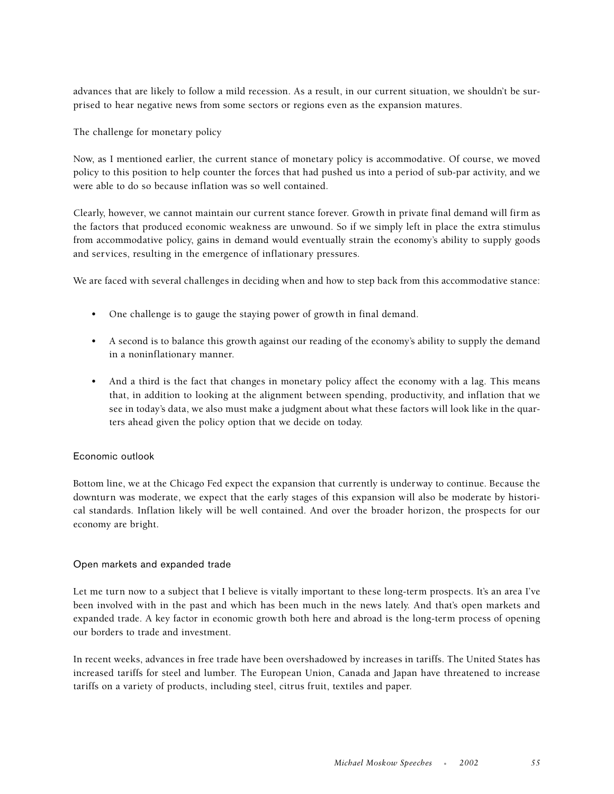advances that are likely to follow a mild recession. As a result, in our current situation, we shouldn't be surprised to hear negative news from some sectors or regions even as the expansion matures.

The challenge for monetary policy

Now, as I mentioned earlier, the current stance of monetary policy is accommodative. Of course, we moved policy to this position to help counter the forces that had pushed us into a period of sub-par activity, and we were able to do so because inflation was so well contained.

Clearly, however, we cannot maintain our current stance forever. Growth in private final demand will firm as the factors that produced economic weakness are unwound. So if we simply left in place the extra stimulus from accommodative policy, gains in demand would eventually strain the economy's ability to supply goods and services, resulting in the emergence of inflationary pressures.

We are faced with several challenges in deciding when and how to step back from this accommodative stance:

- One challenge is to gauge the staying power of growth in final demand.
- A second is to balance this growth against our reading of the economy's ability to supply the demand in a noninflationary manner.
- And a third is the fact that changes in monetary policy affect the economy with a lag. This means that, in addition to looking at the alignment between spending, productivity, and inflation that we see in today's data, we also must make a judgment about what these factors will look like in the quarters ahead given the policy option that we decide on today.

## Economic outlook

Bottom line, we at the Chicago Fed expect the expansion that currently is underway to continue. Because the downturn was moderate, we expect that the early stages of this expansion will also be moderate by historical standards. Inflation likely will be well contained. And over the broader horizon, the prospects for our economy are bright.

## Open markets and expanded trade

Let me turn now to a subject that I believe is vitally important to these long-term prospects. It's an area I've been involved with in the past and which has been much in the news lately. And that's open markets and expanded trade. A key factor in economic growth both here and abroad is the long-term process of opening our borders to trade and investment.

In recent weeks, advances in free trade have been overshadowed by increases in tariffs. The United States has increased tariffs for steel and lumber. The European Union, Canada and Japan have threatened to increase tariffs on a variety of products, including steel, citrus fruit, textiles and paper.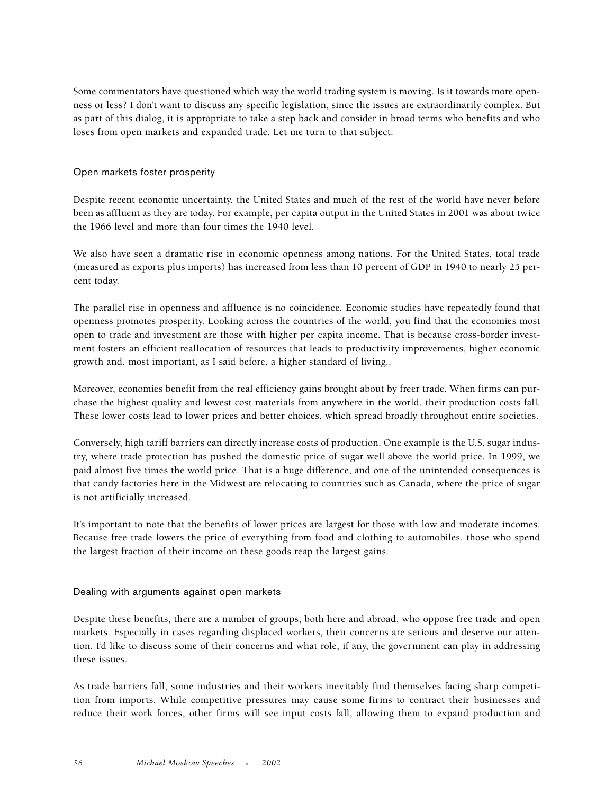Some commentators have questioned which way the world trading system is moving. Is it towards more openness or less? I don't want to discuss any specific legislation, since the issues are extraordinarily complex. But as part of this dialog, it is appropriate to take a step back and consider in broad terms who benefits and who loses from open markets and expanded trade. Let me turn to that subject.

## Open markets foster prosperity

Despite recent economic uncertainty, the United States and much of the rest of the world have never before been as affluent as they are today. For example, per capita output in the United States in 2001 was about twice the 1966 level and more than four times the 1940 level.

We also have seen a dramatic rise in economic openness among nations. For the United States, total trade (measured as exports plus imports) has increased from less than 10 percent of GDP in 1940 to nearly 25 percent today.

The parallel rise in openness and affluence is no coincidence. Economic studies have repeatedly found that openness promotes prosperity. Looking across the countries of the world, you find that the economies most open to trade and investment are those with higher per capita income. That is because cross-border investment fosters an efficient reallocation of resources that leads to productivity improvements, higher economic growth and, most important, as I said before, a higher standard of living..

Moreover, economies benefit from the real efficiency gains brought about by freer trade. When firms can purchase the highest quality and lowest cost materials from anywhere in the world, their production costs fall. These lower costs lead to lower prices and better choices, which spread broadly throughout entire societies.

Conversely, high tariff barriers can directly increase costs of production. One example is the U.S. sugar industry, where trade protection has pushed the domestic price of sugar well above the world price. In 1999, we paid almost five times the world price. That is a huge difference, and one of the unintended consequences is that candy factories here in the Midwest are relocating to countries such as Canada, where the price of sugar is not artificially increased.

It's important to note that the benefits of lower prices are largest for those with low and moderate incomes. Because free trade lowers the price of everything from food and clothing to automobiles, those who spend the largest fraction of their income on these goods reap the largest gains.

## Dealing with arguments against open markets

Despite these benefits, there are a number of groups, both here and abroad, who oppose free trade and open markets. Especially in cases regarding displaced workers, their concerns are serious and deserve our attention. I'd like to discuss some of their concerns and what role, if any, the government can play in addressing these issues.

As trade barriers fall, some industries and their workers inevitably find themselves facing sharp competition from imports. While competitive pressures may cause some firms to contract their businesses and reduce their work forces, other firms will see input costs fall, allowing them to expand production and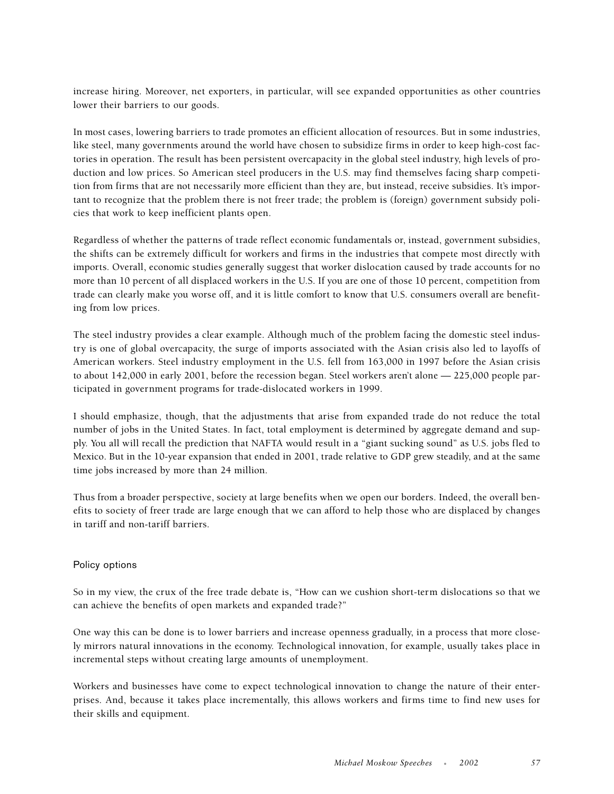increase hiring. Moreover, net exporters, in particular, will see expanded opportunities as other countries lower their barriers to our goods.

In most cases, lowering barriers to trade promotes an efficient allocation of resources. But in some industries, like steel, many governments around the world have chosen to subsidize firms in order to keep high-cost factories in operation. The result has been persistent overcapacity in the global steel industry, high levels of production and low prices. So American steel producers in the U.S. may find themselves facing sharp competition from firms that are not necessarily more efficient than they are, but instead, receive subsidies. It's important to recognize that the problem there is not freer trade; the problem is (foreign) government subsidy policies that work to keep inefficient plants open.

Regardless of whether the patterns of trade reflect economic fundamentals or, instead, government subsidies, the shifts can be extremely difficult for workers and firms in the industries that compete most directly with imports. Overall, economic studies generally suggest that worker dislocation caused by trade accounts for no more than 10 percent of all displaced workers in the U.S. If you are one of those 10 percent, competition from trade can clearly make you worse off, and it is little comfort to know that U.S. consumers overall are benefiting from low prices.

The steel industry provides a clear example. Although much of the problem facing the domestic steel industry is one of global overcapacity, the surge of imports associated with the Asian crisis also led to layoffs of American workers. Steel industry employment in the U.S. fell from 163,000 in 1997 before the Asian crisis to about 142,000 in early 2001, before the recession began. Steel workers aren't alone — 225,000 people participated in government programs for trade-dislocated workers in 1999.

I should emphasize, though, that the adjustments that arise from expanded trade do not reduce the total number of jobs in the United States. In fact, total employment is determined by aggregate demand and supply. You all will recall the prediction that NAFTA would result in a "giant sucking sound" as U.S. jobs fled to Mexico. But in the 10-year expansion that ended in 2001, trade relative to GDP grew steadily, and at the same time jobs increased by more than 24 million.

Thus from a broader perspective, society at large benefits when we open our borders. Indeed, the overall benefits to society of freer trade are large enough that we can afford to help those who are displaced by changes in tariff and non-tariff barriers.

## Policy options

So in my view, the crux of the free trade debate is, "How can we cushion short-term dislocations so that we can achieve the benefits of open markets and expanded trade?"

One way this can be done is to lower barriers and increase openness gradually, in a process that more closely mirrors natural innovations in the economy. Technological innovation, for example, usually takes place in incremental steps without creating large amounts of unemployment.

Workers and businesses have come to expect technological innovation to change the nature of their enterprises. And, because it takes place incrementally, this allows workers and firms time to find new uses for their skills and equipment.